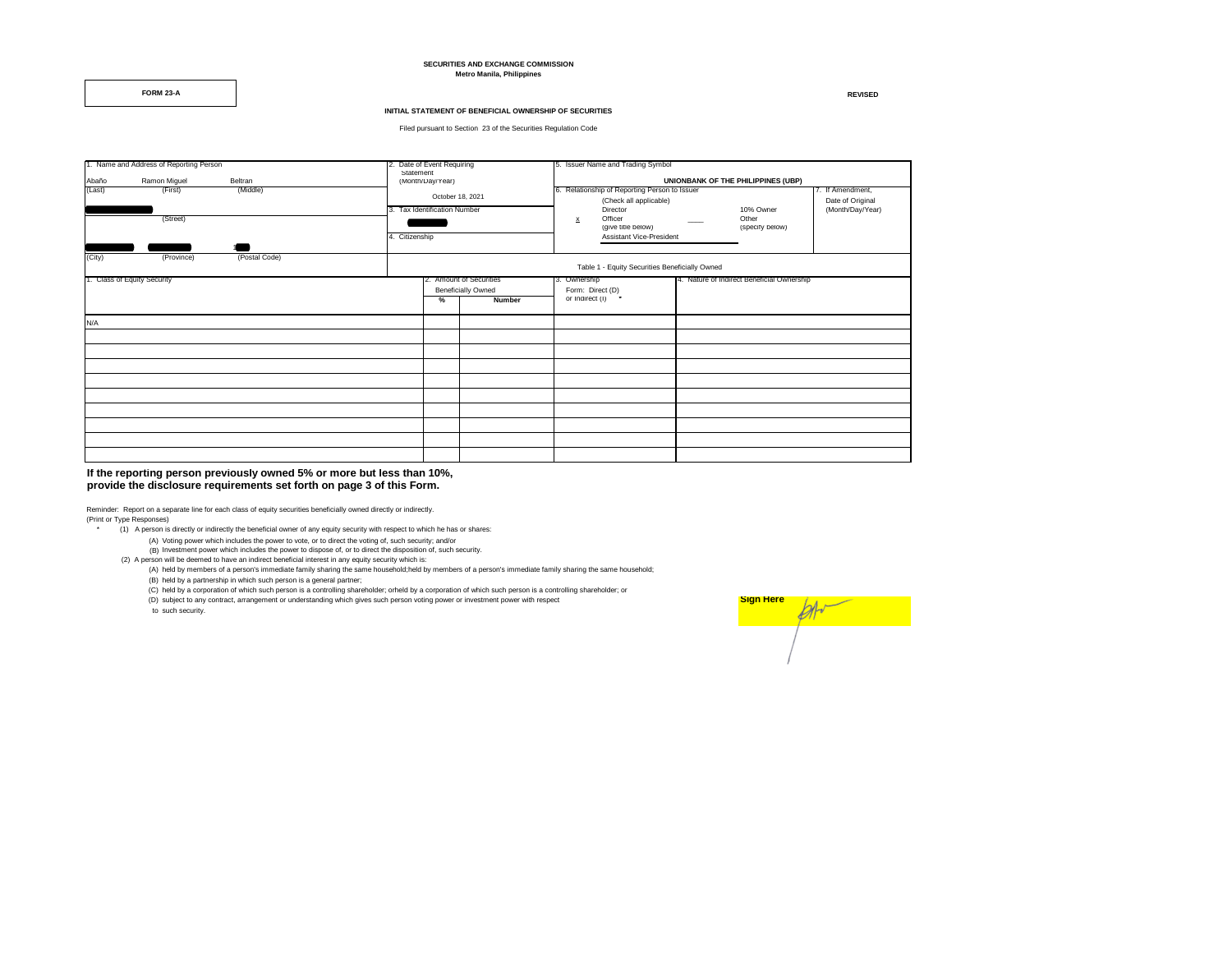### **SECURITIES AND EXCHANGE COMMISSION Metro Manila, Philippines**

**FORM 23-A REVISED**

## **INITIAL STATEMENT OF BENEFICIAL OWNERSHIP OF SECURITIES**

Filed pursuant to Section 23 of the Securities Regulation Code

| 1. Name and Address of Reporting Person |              | 2. Date of Event Requiring |                | 5. Issuer Name and Trading Symbol                    |               |                                                                                     |                                            |                                                          |  |  |
|-----------------------------------------|--------------|----------------------------|----------------|------------------------------------------------------|---------------|-------------------------------------------------------------------------------------|--------------------------------------------|----------------------------------------------------------|--|--|
| Abaño                                   | Ramon Miguel | Beltran                    |                | Statement<br>(Month/Day/Year)                        |               | UNIONBANK OF THE PHILIPPINES (UBP)                                                  |                                            |                                                          |  |  |
| (Last)                                  | (First)      | (Middle)                   |                | October 18, 2021<br>3. Tax Identification Number     |               | 6. Relationship of Reporting Person to Issuer<br>(Check all applicable)<br>Director | 10% Owner                                  | 7. If Amendment,<br>Date of Original<br>(Month/Day/Year) |  |  |
|                                         | (Street)     |                            | 4. Citizenship |                                                      |               | Officer<br>$\mathbf{x}$<br>(give title below)<br>Assistant Vice-President           | Other<br>(specify below)                   |                                                          |  |  |
|                                         |              |                            |                |                                                      |               |                                                                                     |                                            |                                                          |  |  |
| (City)                                  | (Province)   | (Postal Code)              |                | Table 1 - Equity Securities Beneficially Owned       |               |                                                                                     |                                            |                                                          |  |  |
| 1. Class of Equity Security             |              |                            |                | 2. Amount of Securities<br><b>Beneficially Owned</b> |               | 3. Ownership<br>Form: Direct (D)                                                    | 4. Nature of Indirect Beneficial Ownership |                                                          |  |  |
|                                         |              |                            |                | %                                                    | <b>Number</b> | or Indirect (I) *                                                                   |                                            |                                                          |  |  |
| N/A                                     |              |                            |                |                                                      |               |                                                                                     |                                            |                                                          |  |  |
|                                         |              |                            |                |                                                      |               |                                                                                     |                                            |                                                          |  |  |
|                                         |              |                            |                |                                                      |               |                                                                                     |                                            |                                                          |  |  |
|                                         |              |                            |                |                                                      |               |                                                                                     |                                            |                                                          |  |  |
|                                         |              |                            |                |                                                      |               |                                                                                     |                                            |                                                          |  |  |
|                                         |              |                            |                |                                                      |               |                                                                                     |                                            |                                                          |  |  |
|                                         |              |                            |                |                                                      |               |                                                                                     |                                            |                                                          |  |  |
|                                         |              |                            |                |                                                      |               |                                                                                     |                                            |                                                          |  |  |
|                                         |              |                            |                |                                                      |               |                                                                                     |                                            |                                                          |  |  |
|                                         |              |                            |                |                                                      |               |                                                                                     |                                            |                                                          |  |  |

## **If the reporting person previously owned 5% or more but less than 10%, provide the disclosure requirements set forth on page 3 of this Form.**

Reminder: Report on a separate line for each class of equity securities beneficially owned directly or indirectly. (Print or Type Responses)

- \* (1) A person is directly or indirectly the beneficial owner of any equity security with respect to which he has or shares:
	- (A) Voting power which includes the power to vote, or to direct the voting of, such security; and/or
	- (B) Investment power which includes the power to vote, or to direct the voting or, such security.<br>(B) Investment power which includes the power to dispose of, or to direct the disposition of, such security.
- (2) A person will be deemed to have an indirect beneficial interest in any equity security which is:
	- (A) held by members of a person's immediate family sharing the same household;held by members of a person's immediate family sharing the same household;
	- (B) held by a partnership in which such person is a general partner;
	- (C) held by a corporation of which such person is a controlling shareholder; orheld by a corporation of which such person is a controlling shareholder; or
	- (D) subject to any contract, arrangement or understanding which gives such person voting power or investment power with respect

to such security.

| <b>Sign Here</b> |  |
|------------------|--|
|                  |  |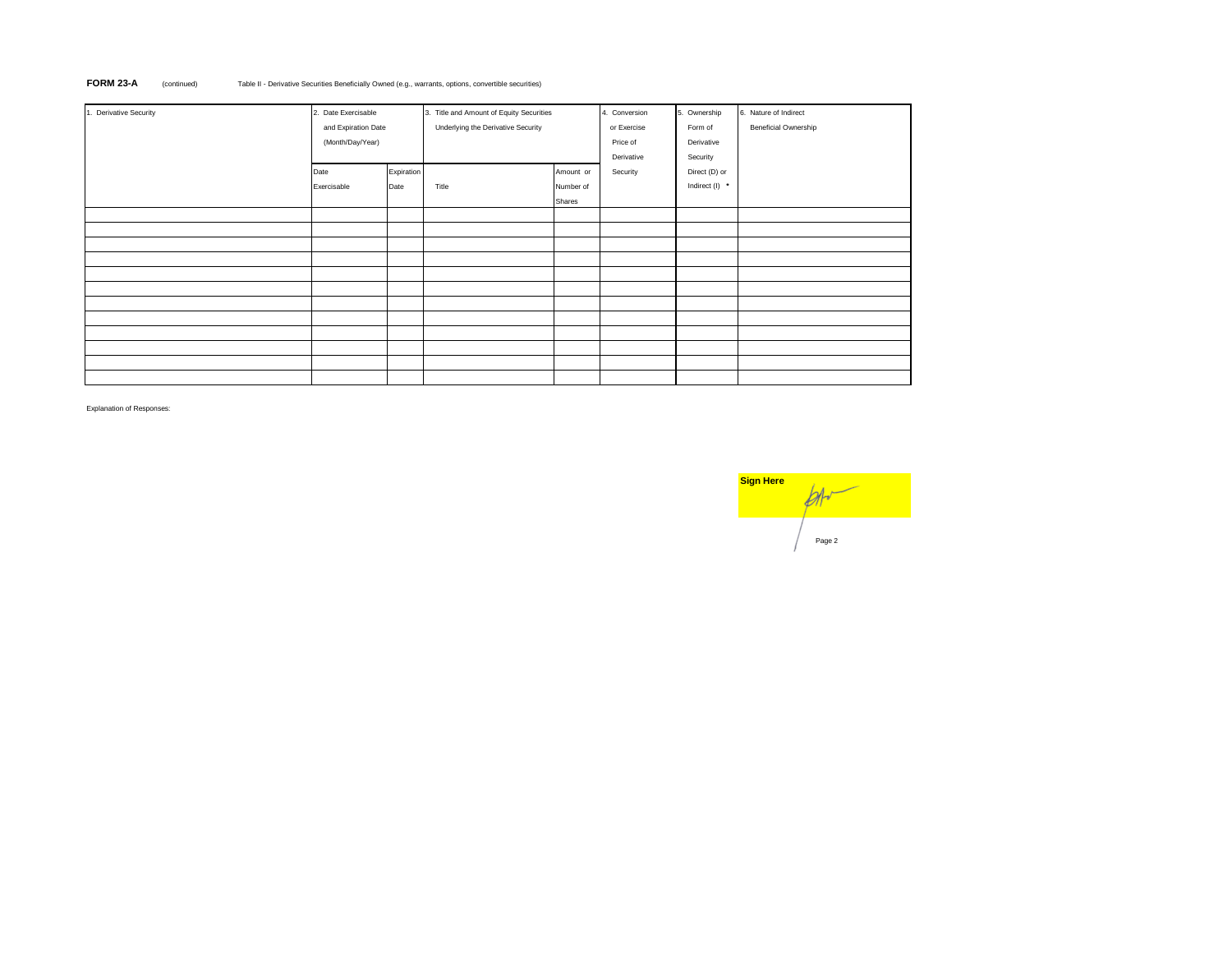# **FORM 23-A** (continued) Table II - Derivative Securities Beneficially Owned (e.g., warrants, options, convertible securities)

| 1. Derivative Security | 2. Date Exercisable |            | 3. Title and Amount of Equity Securities |           | 4. Conversion | 5. Ownership   | 6. Nature of Indirect |
|------------------------|---------------------|------------|------------------------------------------|-----------|---------------|----------------|-----------------------|
|                        | and Expiration Date |            | Underlying the Derivative Security       |           | or Exercise   | Form of        | Beneficial Ownership  |
|                        | (Month/Day/Year)    |            |                                          |           | Price of      | Derivative     |                       |
|                        |                     |            |                                          |           | Derivative    | Security       |                       |
|                        | Date                | Expiration |                                          | Amount or | Security      | Direct (D) or  |                       |
|                        | Exercisable         | Date       | Title                                    | Number of |               | Indirect (I) * |                       |
|                        |                     |            |                                          | Shares    |               |                |                       |
|                        |                     |            |                                          |           |               |                |                       |
|                        |                     |            |                                          |           |               |                |                       |
|                        |                     |            |                                          |           |               |                |                       |
|                        |                     |            |                                          |           |               |                |                       |
|                        |                     |            |                                          |           |               |                |                       |
|                        |                     |            |                                          |           |               |                |                       |
|                        |                     |            |                                          |           |               |                |                       |
|                        |                     |            |                                          |           |               |                |                       |
|                        |                     |            |                                          |           |               |                |                       |
|                        |                     |            |                                          |           |               |                |                       |
|                        |                     |            |                                          |           |               |                |                       |
|                        |                     |            |                                          |           |               |                |                       |

Explanation of Responses:

| <b>Sign Here</b> |        |  |  |  |  |
|------------------|--------|--|--|--|--|
|                  | Page 2 |  |  |  |  |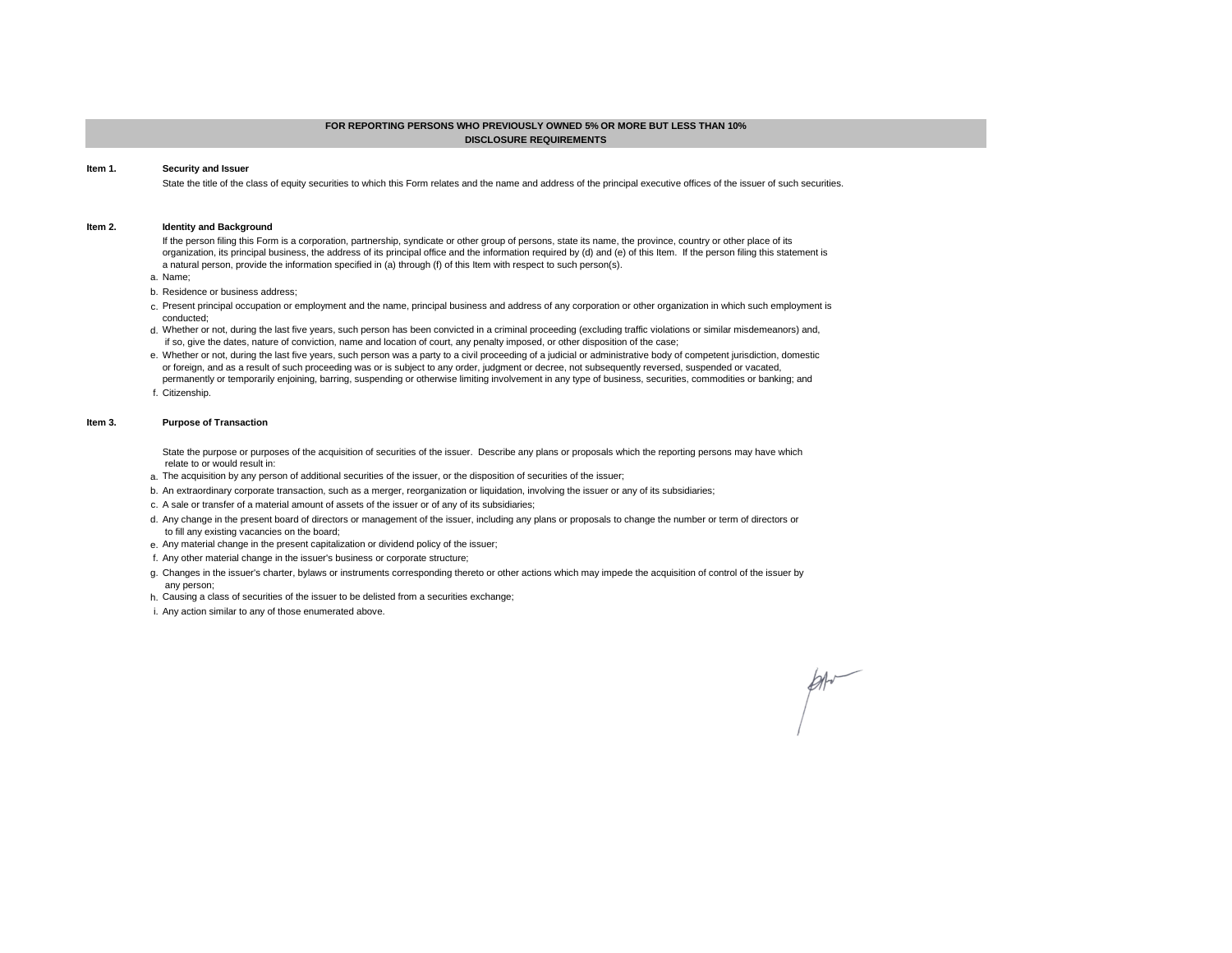# **FOR REPORTING PERSONS WHO PREVIOUSLY OWNED 5% OR MORE BUT LESS THAN 10% DISCLOSURE REQUIREMENTS**

#### **Item 1. Security and Issuer**

State the title of the class of equity securities to which this Form relates and the name and address of the principal executive offices of the issuer of such securities.

#### **Item 2. Identity and Background**

If the person filing this Form is a corporation, partnership, syndicate or other group of persons, state its name, the province, country or other place of its organization, its principal business, the address of its principal office and the information required by (d) and (e) of this Item. If the person filing this statement is a natural person, provide the information specified in (a) through (f) of this Item with respect to such person(s).

- a. Name;
- b. Residence or business address;
- c. Present principal occupation or employment and the name, principal business and address of any corporation or other organization in which such employment is conducted;
- d. Whether or not, during the last five years, such person has been convicted in a criminal proceeding (excluding traffic violations or similar misdemeanors) and, if so, give the dates, nature of conviction, name and location of court, any penalty imposed, or other disposition of the case;
- e. Whether or not, during the last five years, such person was a party to a civil proceeding of a judicial or administrative body of competent jurisdiction, domestic or foreign, and as a result of such proceeding was or is subject to any order, judgment or decree, not subsequently reversed, suspended or vacated,
- f. Citizenship. permanently or temporarily enjoining, barring, suspending or otherwise limiting involvement in any type of business, securities, commodities or banking; and

#### **Item 3. Purpose of Transaction**

State the purpose or purposes of the acquisition of securities of the issuer. Describe any plans or proposals which the reporting persons may have which relate to or would result in:

- a. The acquisition by any person of additional securities of the issuer, or the disposition of securities of the issuer;
- b. An extraordinary corporate transaction, such as a merger, reorganization or liquidation, involving the issuer or any of its subsidiaries;
- c. A sale or transfer of a material amount of assets of the issuer or of any of its subsidiaries;
- d. Any change in the present board of directors or management of the issuer, including any plans or proposals to change the number or term of directors or to fill any existing vacancies on the board;
- e. Any material change in the present capitalization or dividend policy of the issuer;
- f. Any other material change in the issuer's business or corporate structure;
- g. Changes in the issuer's charter, bylaws or instruments corresponding thereto or other actions which may impede the acquisition of control of the issuer by any person;
- h. Causing a class of securities of the issuer to be delisted from a securities exchange;
- i. Any action similar to any of those enumerated above.

 $\cancel{\mathcal{M}}$